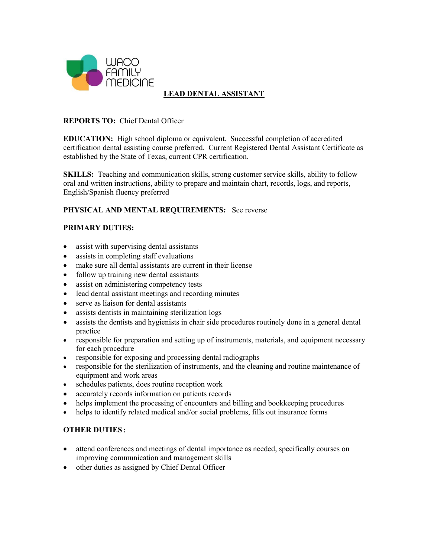

# **LEAD DENTAL ASSISTANT**

#### **REPORTS TO:** Chief Dental Officer

**EDUCATION:** High school diploma or equivalent. Successful completion of accredited certification dental assisting course preferred. Current Registered Dental Assistant Certificate as established by the State of Texas, current CPR certification.

**SKILLS:** Teaching and communication skills, strong customer service skills, ability to follow oral and written instructions, ability to prepare and maintain chart, records, logs, and reports, English/Spanish fluency preferred

### **PHYSICAL AND MENTAL REQUIREMENTS:** See reverse

### **PRIMARY DUTIES:**

- assist with supervising dental assistants
- assists in completing staff evaluations
- make sure all dental assistants are current in their license
- follow up training new dental assistants
- assist on administering competency tests
- lead dental assistant meetings and recording minutes
- serve as liaison for dental assistants
- assists dentists in maintaining sterilization logs
- assists the dentists and hygienists in chair side procedures routinely done in a general dental practice
- responsible for preparation and setting up of instruments, materials, and equipment necessary for each procedure
- responsible for exposing and processing dental radiographs
- responsible for the sterilization of instruments, and the cleaning and routine maintenance of equipment and work areas
- schedules patients, does routine reception work
- accurately records information on patients records
- helps implement the processing of encounters and billing and bookkeeping procedures
- helps to identify related medical and/or social problems, fills out insurance forms

### **OTHER DUTIES:**

- attend conferences and meetings of dental importance as needed, specifically courses on improving communication and management skills
- other duties as assigned by Chief Dental Officer